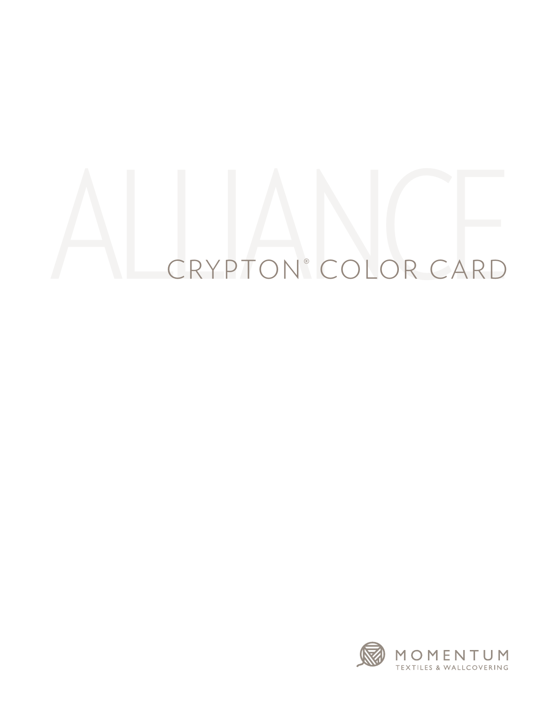## AL CRYPTON® COLOR CARD COLOR CARD

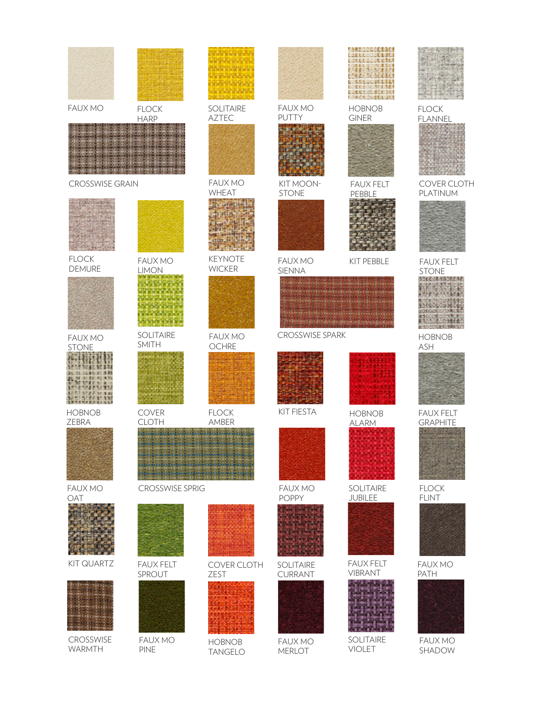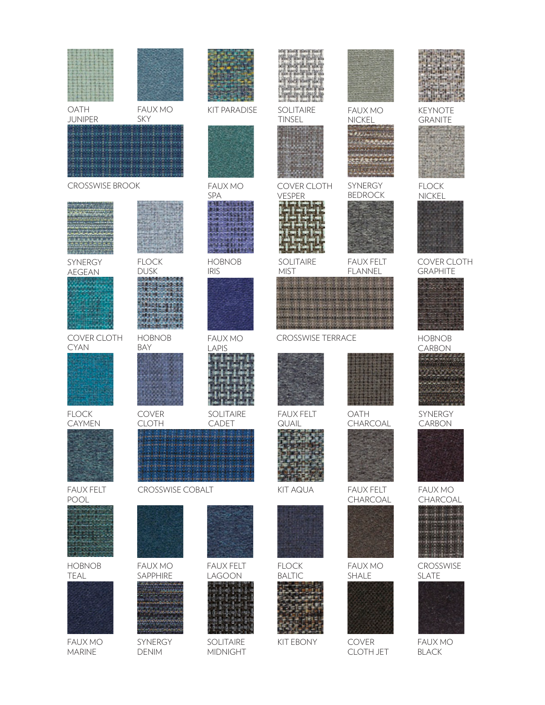| OATH<br><b>JUNIPER</b>          | <b>FAUX MO</b><br><b>SKY</b> | <b>KIT PARADISE</b>          | <b>SOLITAIRE</b><br><b>TINSEL</b> | <b>FAUX MO</b>                     | <b>KEYNOTE</b>                 |
|---------------------------------|------------------------------|------------------------------|-----------------------------------|------------------------------------|--------------------------------|
|                                 |                              |                              |                                   | <b>NICKEL</b>                      | <b>GRANITE</b>                 |
| <b>CROSSWISE BROOK</b>          |                              | <b>FAUX MO</b><br>SPA        | COVER CLOTH<br><b>VESPER</b>      | SYNERGY<br><b>BEDROCK</b>          | <b>FLOCK</b><br><b>NICKEL</b>  |
|                                 |                              |                              |                                   |                                    |                                |
| <b>SYNERGY</b><br><b>AEGEAN</b> | <b>FLOCK</b><br><b>DUSK</b>  | <b>HOBNOB</b><br><b>IRIS</b> | <b>SOLITAIRE</b><br><b>MIST</b>   | <b>FAUX FELT</b><br><b>FLANNEL</b> | COVER CLOTH<br><b>GRAPHITE</b> |
|                                 |                              |                              |                                   |                                    |                                |
| COVER CLOTH<br><b>CYAN</b>      | <b>HOBNOB</b><br><b>BAY</b>  | <b>FAUX MO</b><br>LAPIS      | <b>CROSSWISE TERRACE</b>          |                                    | <b>HOBNOB</b><br>CARBON        |
|                                 |                              |                              |                                   |                                    |                                |
| <b>FLOCK</b><br><b>CAYMEN</b>   | <b>COVER</b><br><b>CLOTH</b> | SOLITAIRE<br>CADET           | <b>FAUX FELT</b><br>QUAIL         | OATH<br>CHARCOAL                   | SYNERGY<br><b>CARBON</b>       |
|                                 |                              |                              |                                   |                                    |                                |
| <b>FAUX FELT</b><br>POOL        | <b>CROSSWISE COBALT</b>      |                              | <b>KIT AQUA</b>                   | <b>FAUX FELT</b><br>CHARCOAL       | <b>FAUX MO</b><br>CHARCOAL     |
|                                 |                              |                              |                                   |                                    |                                |
| <b>HOBNOB</b>                   | <b>FAUX MO</b>               | <b>FAUX FELT</b>             | <b>FLOCK</b>                      | <b>FAUX MO</b>                     | CROSSWISE                      |
| TEAL                            | SAPPHIRE                     | LAGOON                       | <b>BALTIC</b>                     | SHALE                              | <b>SLATE</b>                   |
| <b>FAUX MO</b><br><b>MARINE</b> | SYNERGY<br><b>DENIM</b>      | SOLITAIRE<br><b>MIDNIGHT</b> | <b>KIT EBONY</b>                  | COVER<br><b>CLOTH JET</b>          | <b>FAUX MO</b><br><b>BLACK</b> |